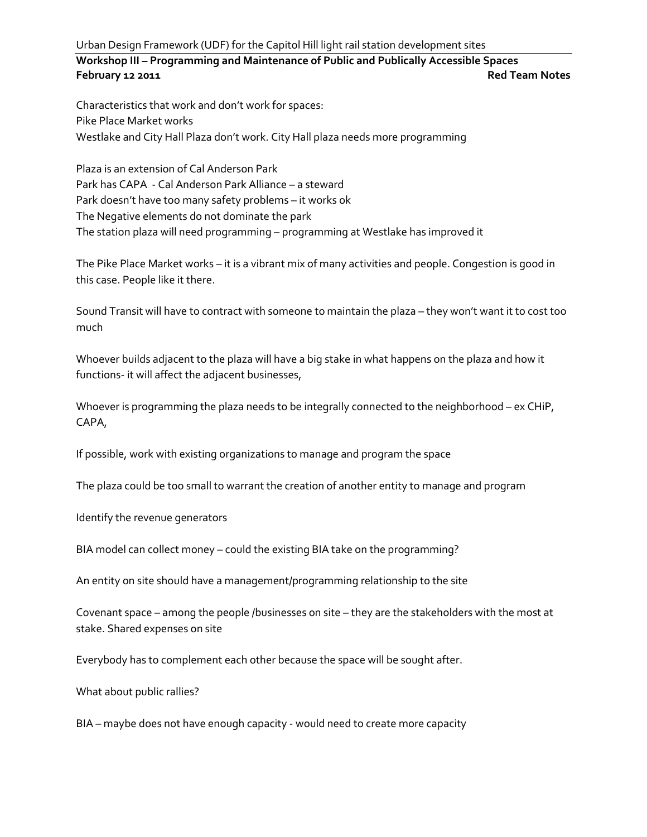Urban Design Framework (UDF) for the Capitol Hill light rail station development sites

**Workshop III – Programming and Maintenance of Public and Publically Accessible Spaces February 12 2011 Red Team Notes**

Characteristics that work and don't work for spaces: Pike Place Market works Westlake and City Hall Plaza don't work. City Hall plaza needs more programming

Plaza is an extension of Cal Anderson Park Park has CAPA - Cal Anderson Park Alliance – a steward Park doesn't have too many safety problems – it works ok The Negative elements do not dominate the park The station plaza will need programming – programming at Westlake has improved it

The Pike Place Market works – it is a vibrant mix of many activities and people. Congestion is good in this case. People like it there.

Sound Transit will have to contract with someone to maintain the plaza – they won't want it to cost too much

Whoever builds adjacent to the plaza will have a big stake in what happens on the plaza and how it functions- it will affect the adjacent businesses,

Whoever is programming the plaza needs to be integrally connected to the neighborhood – ex CHiP, CAPA,

If possible, work with existing organizations to manage and program the space

The plaza could be too small to warrant the creation of another entity to manage and program

Identify the revenue generators

BIA model can collect money – could the existing BIA take on the programming?

An entity on site should have a management/programming relationship to the site

Covenant space – among the people /businesses on site – they are the stakeholders with the most at stake. Shared expenses on site

Everybody has to complement each other because the space will be sought after.

What about public rallies?

BIA – maybe does not have enough capacity - would need to create more capacity